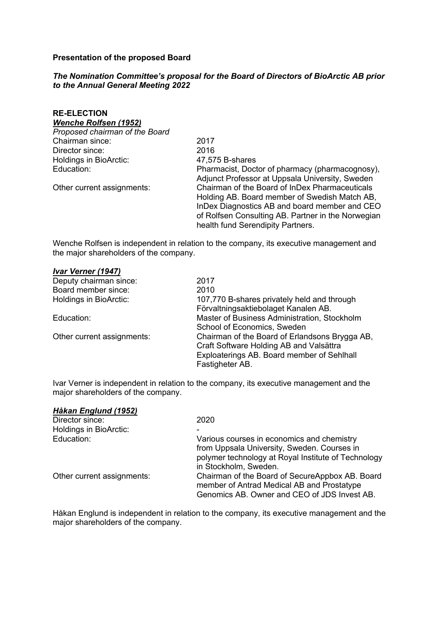### **Presentation of the proposed Board**

### *The Nomination Committee's proposal for the Board of Directors of BioArctic AB prior to the Annual General Meeting 2022*

| <b>RE-ELECTION</b><br><b>Wenche Rolfsen (1952)</b> |                                                                                                                                                                                                                                             |
|----------------------------------------------------|---------------------------------------------------------------------------------------------------------------------------------------------------------------------------------------------------------------------------------------------|
| Proposed chairman of the Board                     |                                                                                                                                                                                                                                             |
| Chairman since:                                    | 2017                                                                                                                                                                                                                                        |
| Director since:                                    | 2016                                                                                                                                                                                                                                        |
| Holdings in BioArctic:                             | 47,575 B-shares                                                                                                                                                                                                                             |
| Education:                                         | Pharmacist, Doctor of pharmacy (pharmacognosy),<br>Adjunct Professor at Uppsala University, Sweden                                                                                                                                          |
| Other current assignments:                         | Chairman of the Board of InDex Pharmaceuticals<br>Holding AB. Board member of Swedish Match AB,<br>InDex Diagnostics AB and board member and CEO<br>of Rolfsen Consulting AB. Partner in the Norwegian<br>health fund Serendipity Partners. |

Wenche Rolfsen is independent in relation to the company, its executive management and the major shareholders of the company.

| Ivar Verner (1947)         |                                                |
|----------------------------|------------------------------------------------|
| Deputy chairman since:     | 2017                                           |
| Board member since:        | 2010                                           |
| Holdings in BioArctic:     | 107,770 B-shares privately held and through    |
|                            | Förvaltningsaktiebolaget Kanalen AB.           |
| Education:                 | Master of Business Administration, Stockholm   |
|                            | School of Economics, Sweden                    |
| Other current assignments: | Chairman of the Board of Erlandsons Brygga AB, |
|                            | Craft Software Holding AB and Valsättra        |
|                            | Exploaterings AB. Board member of Sehlhall     |
|                            | Fastigheter AB.                                |

Ivar Verner is independent in relation to the company, its executive management and the major shareholders of the company.

| 2020                                                                                                                                          |
|-----------------------------------------------------------------------------------------------------------------------------------------------|
|                                                                                                                                               |
| Various courses in economics and chemistry                                                                                                    |
| from Uppsala University, Sweden. Courses in                                                                                                   |
| polymer technology at Royal Institute of Technology                                                                                           |
| in Stockholm, Sweden.                                                                                                                         |
| Chairman of the Board of SecureAppbox AB. Board<br>member of Antrad Medical AB and Prostatype<br>Genomics AB. Owner and CEO of JDS Invest AB. |
|                                                                                                                                               |

Håkan Englund is independent in relation to the company, its executive management and the major shareholders of the company.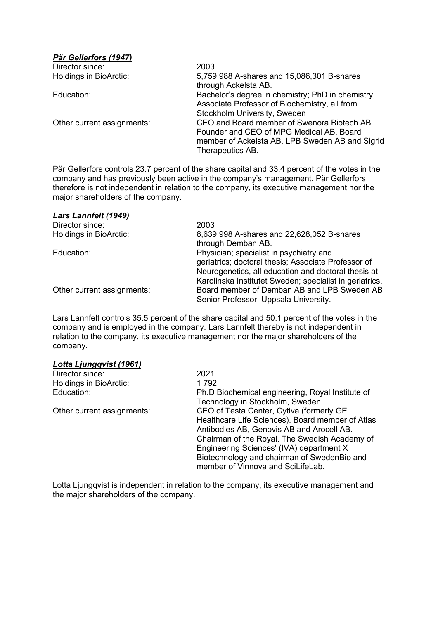# *Pär Gellerfors (1947)*

| Director since:               | 2003                                              |
|-------------------------------|---------------------------------------------------|
| <b>Holdings in BioArctic:</b> | 5,759,988 A-shares and 15,086,301 B-shares        |
|                               | through Ackelsta AB.                              |
| Education:                    | Bachelor's degree in chemistry; PhD in chemistry; |
|                               | Associate Professor of Biochemistry, all from     |
|                               | Stockholm University, Sweden                      |
| Other current assignments:    | CEO and Board member of Swenora Biotech AB.       |
|                               | Founder and CEO of MPG Medical AB. Board          |
|                               | member of Ackelsta AB, LPB Sweden AB and Sigrid   |
|                               | Therapeutics AB.                                  |

Pär Gellerfors controls 23.7 percent of the share capital and 33.4 percent of the votes in the company and has previously been active in the company's management. Pär Gellerfors therefore is not independent in relation to the company, its executive management nor the major shareholders of the company.

### *Lars Lannfelt (1949)*

| Director since:            | 2003                                                    |
|----------------------------|---------------------------------------------------------|
| Holdings in BioArctic:     | 8,639,998 A-shares and 22,628,052 B-shares              |
|                            | through Demban AB.                                      |
| Education:                 | Physician; specialist in psychiatry and                 |
|                            | geriatrics; doctoral thesis; Associate Professor of     |
|                            | Neurogenetics, all education and doctoral thesis at     |
|                            | Karolinska Institutet Sweden; specialist in geriatrics. |
| Other current assignments: | Board member of Demban AB and LPB Sweden AB.            |
|                            | Senior Professor, Uppsala University.                   |

Lars Lannfelt controls 35.5 percent of the share capital and 50.1 percent of the votes in the company and is employed in the company. Lars Lannfelt thereby is not independent in relation to the company, its executive management nor the major shareholders of the company.

#### *Lotta Ljungqvist (1961)*

| Director since:            | 2021                                             |
|----------------------------|--------------------------------------------------|
| Holdings in BioArctic:     | 1 792                                            |
| Education:                 | Ph.D Biochemical engineering, Royal Institute of |
|                            | Technology in Stockholm, Sweden.                 |
| Other current assignments: | CEO of Testa Center, Cytiva (formerly GE         |
|                            | Healthcare Life Sciences). Board member of Atlas |
|                            | Antibodies AB, Genovis AB and Arocell AB.        |
|                            | Chairman of the Royal. The Swedish Academy of    |
|                            | Engineering Sciences' (IVA) department X         |
|                            | Biotechnology and chairman of SwedenBio and      |
|                            | member of Vinnova and SciLifeLab.                |

Lotta Ljungqvist is independent in relation to the company, its executive management and the major shareholders of the company.